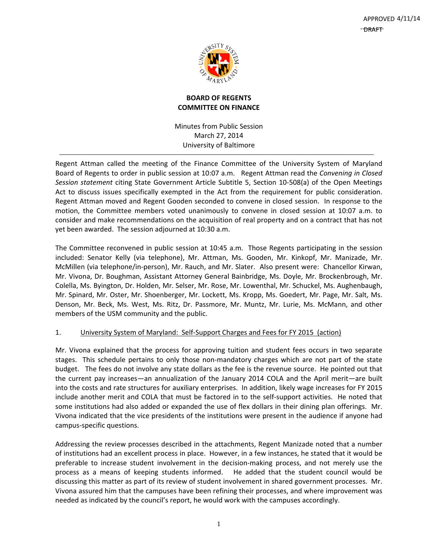

# **BOARD OF REGENTS COMMITTEE ON FINANCE**

Minutes from Public Session March 27, 2014 University of Baltimore

Regent Attman called the meeting of the Finance Committee of the University System of Maryland Board of Regents to order in public session at 10:07 a.m. Regent Attman read the *Convening in Closed Session statement* citing State Government Article Subtitle 5, Section 10‐508(a) of the Open Meetings Act to discuss issues specifically exempted in the Act from the requirement for public consideration. Regent Attman moved and Regent Gooden seconded to convene in closed session. In response to the motion, the Committee members voted unanimously to convene in closed session at 10:07 a.m. to consider and make recommendations on the acquisition of real property and on a contract that has not yet been awarded. The session adjourned at 10:30 a.m.

The Committee reconvened in public session at 10:45 a.m. Those Regents participating in the session included: Senator Kelly (via telephone), Mr. Attman, Ms. Gooden, Mr. Kinkopf, Mr. Manizade, Mr. McMillen (via telephone/in‐person), Mr. Rauch, and Mr. Slater. Also present were: Chancellor Kirwan, Mr. Vivona, Dr. Boughman, Assistant Attorney General Bainbridge, Ms. Doyle, Mr. Brockenbrough, Mr. Colella, Ms. Byington, Dr. Holden, Mr. Selser, Mr. Rose, Mr. Lowenthal, Mr. Schuckel, Ms. Aughenbaugh, Mr. Spinard, Mr. Oster, Mr. Shoenberger, Mr. Lockett, Ms. Kropp, Ms. Goedert, Mr. Page, Mr. Salt, Ms. Denson, Mr. Beck, Ms. West, Ms. Ritz, Dr. Passmore, Mr. Muntz, Mr. Lurie, Ms. McMann, and other members of the USM community and the public.

# 1. University System of Maryland: Self‐Support Charges and Fees for FY 2015 (action)

Mr. Vivona explained that the process for approving tuition and student fees occurs in two separate stages. This schedule pertains to only those non-mandatory charges which are not part of the state budget. The fees do not involve any state dollars as the fee is the revenue source. He pointed out that the current pay increases—an annualization of the January 2014 COLA and the April merit—are built into the costs and rate structures for auxiliary enterprises. In addition, likely wage increases for FY 2015 include another merit and COLA that must be factored in to the self‐support activities. He noted that some institutions had also added or expanded the use of flex dollars in their dining plan offerings. Mr. Vivona indicated that the vice presidents of the institutions were present in the audience if anyone had campus‐specific questions.

Addressing the review processes described in the attachments, Regent Manizade noted that a number of institutions had an excellent process in place. However, in a few instances, he stated that it would be preferable to increase student involvement in the decision‐making process, and not merely use the process as a means of keeping students informed. He added that the student council would be discussing this matter as part of its review of student involvement in shared government processes. Mr. Vivona assured him that the campuses have been refining their processes, and where improvement was needed as indicated by the council's report, he would work with the campuses accordingly.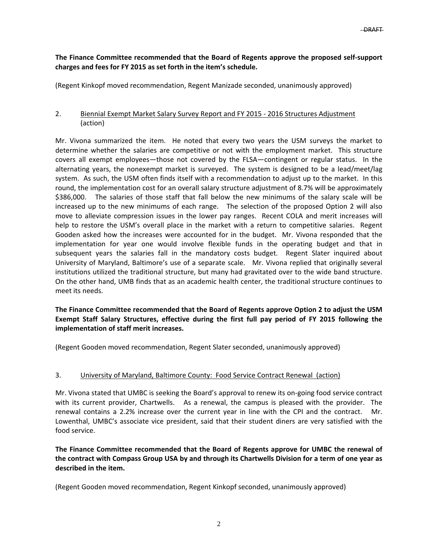## **The Finance Committee recommended that the Board of Regents approve the proposed self‐support charges and fees for FY 2015 as set forth in the item's schedule.**

(Regent Kinkopf moved recommendation, Regent Manizade seconded, unanimously approved)

## 2. Biennial Exempt Market Salary Survey Report and FY 2015 ‐ 2016 Structures Adjustment (action)

Mr. Vivona summarized the item. He noted that every two years the USM surveys the market to determine whether the salaries are competitive or not with the employment market. This structure covers all exempt employees—those not covered by the FLSA—contingent or regular status. In the alternating years, the nonexempt market is surveyed. The system is designed to be a lead/meet/lag system. As such, the USM often finds itself with a recommendation to adjust up to the market. In this round, the implementation cost for an overall salary structure adjustment of 8.7% will be approximately \$386,000. The salaries of those staff that fall below the new minimums of the salary scale will be increased up to the new minimums of each range. The selection of the proposed Option 2 will also move to alleviate compression issues in the lower pay ranges. Recent COLA and merit increases will help to restore the USM's overall place in the market with a return to competitive salaries. Regent Gooden asked how the increases were accounted for in the budget. Mr. Vivona responded that the implementation for year one would involve flexible funds in the operating budget and that in subsequent years the salaries fall in the mandatory costs budget. Regent Slater inquired about University of Maryland, Baltimore's use of a separate scale. Mr. Vivona replied that originally several institutions utilized the traditional structure, but many had gravitated over to the wide band structure. On the other hand, UMB finds that as an academic health center, the traditional structure continues to meet its needs.

## **The Finance Committee recommended that the Board of Regents approve Option 2 to adjust the USM Exempt Staff Salary Structures, effective during the first full pay period of FY 2015 following the implementation of staff merit increases.**

(Regent Gooden moved recommendation, Regent Slater seconded, unanimously approved)

# 3. University of Maryland, Baltimore County: Food Service Contract Renewal (action)

Mr. Vivona stated that UMBC is seeking the Board's approval to renew its on‐going food service contract with its current provider, Chartwells. As a renewal, the campus is pleased with the provider. The renewal contains a 2.2% increase over the current year in line with the CPI and the contract. Mr. Lowenthal, UMBC's associate vice president, said that their student diners are very satisfied with the food service.

**The Finance Committee recommended that the Board of Regents approve for UMBC the renewal of** the contract with Compass Group USA by and through its Chartwells Division for a term of one year as **described in the item.**

(Regent Gooden moved recommendation, Regent Kinkopf seconded, unanimously approved)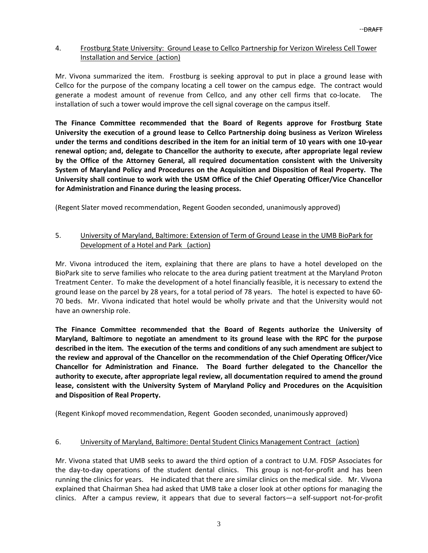### 4. Frostburg State University: Ground Lease to Cellco Partnership for Verizon Wireless Cell Tower Installation and Service (action)

Mr. Vivona summarized the item. Frostburg is seeking approval to put in place a ground lease with Cellco for the purpose of the company locating a cell tower on the campus edge. The contract would generate a modest amount of revenue from Cellco, and any other cell firms that co-locate. The installation of such a tower would improve the cell signal coverage on the campus itself.

**The Finance Committee recommended that the Board of Regents approve for Frostburg State University the execution of a ground lease to Cellco Partnership doing business as Verizon Wireless** under the terms and conditions described in the item for an initial term of 10 years with one 10-year **renewal option; and, delegate to Chancellor the authority to execute, after appropriate legal review by the Office of the Attorney General, all required documentation consistent with the University System of Maryland Policy and Procedures on the Acquisition and Disposition of Real Property. The University shall continue to work with the USM Office of the Chief Operating Officer/Vice Chancellor for Administration and Finance during the leasing process.** 

(Regent Slater moved recommendation, Regent Gooden seconded, unanimously approved)

## 5. University of Maryland, Baltimore: Extension of Term of Ground Lease in the UMB BioPark for Development of a Hotel and Park (action)

Mr. Vivona introduced the item, explaining that there are plans to have a hotel developed on the BioPark site to serve families who relocate to the area during patient treatment at the Maryland Proton Treatment Center. To make the development of a hotel financially feasible, it is necessary to extend the ground lease on the parcel by 28 years, for a total period of 78 years. The hotel is expected to have 60‐ 70 beds. Mr. Vivona indicated that hotel would be wholly private and that the University would not have an ownership role.

**The Finance Committee recommended that the Board of Regents authorize the University of Maryland, Baltimore to negotiate an amendment to its ground lease with the RPC for the purpose** described in the item. The execution of the terms and conditions of any such amendment are subject to **the review and approval of the Chancellor on the recommendation of the Chief Operating Officer/Vice Chancellor for Administration and Finance. The Board further delegated to the Chancellor the authority to execute, after appropriate legal review, all documentation required to amend the ground lease, consistent with the University System of Maryland Policy and Procedures on the Acquisition and Disposition of Real Property.** 

(Regent Kinkopf moved recommendation, Regent Gooden seconded, unanimously approved)

### 6. University of Maryland, Baltimore: Dental Student Clinics Management Contract (action)

Mr. Vivona stated that UMB seeks to award the third option of a contract to U.M. FDSP Associates for the day-to-day operations of the student dental clinics. This group is not-for-profit and has been running the clinics for years. He indicated that there are similar clinics on the medical side. Mr. Vivona explained that Chairman Shea had asked that UMB take a closer look at other options for managing the clinics. After a campus review, it appears that due to several factors—a self‐support not‐for‐profit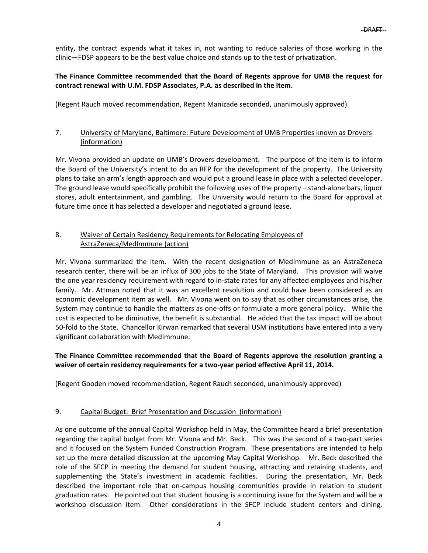entity, the contract expends what it takes in, not wanting to reduce salaries of those working in the clinic—FDSP appears to be the best value choice and stands up to the test of privatization.

### **The Finance Committee recommended that the Board of Regents approve for UMB the request for contract renewal with U.M. FDSP Associates, P.A. as described in the item.**

(Regent Rauch moved recommendation, Regent Manizade seconded, unanimously approved)

## 7. University of Maryland, Baltimore: Future Development of UMB Properties known as Drovers (information)

Mr. Vivona provided an update on UMB's Drovers development. The purpose of the item is to inform the Board of the University's intent to do an RFP for the development of the property. The University plans to take an arm's length approach and would put a ground lease in place with a selected developer. The ground lease would specifically prohibit the following uses of the property—stand‐alone bars, liquor stores, adult entertainment, and gambling. The University would return to the Board for approval at future time once it has selected a developer and negotiated a ground lease.

## 8. Waiver of Certain Residency Requirements for Relocating Employees of AstraZeneca/MedImmune (action)

Mr. Vivona summarized the item. With the recent designation of MedImmune as an AstraZeneca research center, there will be an influx of 300 jobs to the State of Maryland. This provision will waive the one year residency requirement with regard to in‐state rates for any affected employees and his/her family. Mr. Attman noted that it was an excellent resolution and could have been considered as an economic development item as well. Mr. Vivona went on to say that as other circumstances arise, the System may continue to handle the matters as one-offs or formulate a more general policy. While the cost is expected to be diminutive, the benefit is substantial. He added that the tax impact will be about 50-fold to the State. Chancellor Kirwan remarked that several USM institutions have entered into a very significant collaboration with MedImmune.

## **The Finance Committee recommended that the Board of Regents approve the resolution granting a waiver of certain residency requirements for a two‐year period effective April 11, 2014.**

(Regent Gooden moved recommendation, Regent Rauch seconded, unanimously approved)

# 9. Capital Budget: Brief Presentation and Discussion (information)

As one outcome of the annual Capital Workshop held in May, the Committee heard a brief presentation regarding the capital budget from Mr. Vivona and Mr. Beck. This was the second of a two‐part series and it focused on the System Funded Construction Program. These presentations are intended to help set up the more detailed discussion at the upcoming May Capital Workshop. Mr. Beck described the role of the SFCP in meeting the demand for student housing, attracting and retaining students, and supplementing the State's investment in academic facilities. During the presentation, Mr. Beck described the important role that on-campus housing communities provide in relation to student graduation rates. He pointed out that student housing is a continuing issue for the System and will be a workshop discussion item. Other considerations in the SFCP include student centers and dining,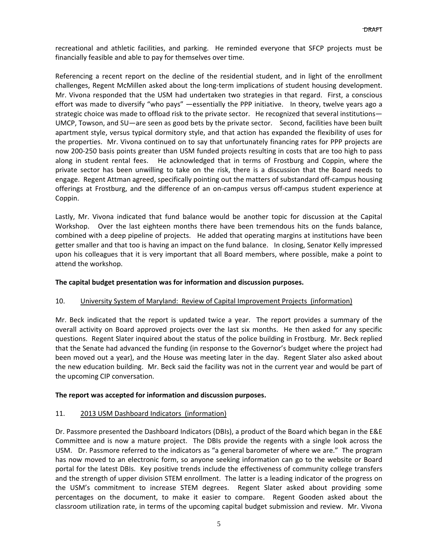recreational and athletic facilities, and parking. He reminded everyone that SFCP projects must be financially feasible and able to pay for themselves over time.

Referencing a recent report on the decline of the residential student, and in light of the enrollment challenges, Regent McMillen asked about the long‐term implications of student housing development. Mr. Vivona responded that the USM had undertaken two strategies in that regard. First, a conscious effort was made to diversify "who pays" —essentially the PPP initiative. In theory, twelve years ago a strategic choice was made to offload risk to the private sector. He recognized that several institutions— UMCP, Towson, and SU—are seen as good bets by the private sector. Second, facilities have been built apartment style, versus typical dormitory style, and that action has expanded the flexibility of uses for the properties. Mr. Vivona continued on to say that unfortunately financing rates for PPP projects are now 200‐250 basis points greater than USM funded projects resulting in costs that are too high to pass along in student rental fees. He acknowledged that in terms of Frostburg and Coppin, where the private sector has been unwilling to take on the risk, there is a discussion that the Board needs to engage. Regent Attman agreed, specifically pointing out the matters of substandard off‐campus housing offerings at Frostburg, and the difference of an on‐campus versus off‐campus student experience at Coppin.

Lastly, Mr. Vivona indicated that fund balance would be another topic for discussion at the Capital Workshop. Over the last eighteen months there have been tremendous hits on the funds balance, combined with a deep pipeline of projects. He added that operating margins at institutions have been getter smaller and that too is having an impact on the fund balance. In closing, Senator Kelly impressed upon his colleagues that it is very important that all Board members, where possible, make a point to attend the workshop.

### **The capital budget presentation was for information and discussion purposes.**

### 10. University System of Maryland: Review of Capital Improvement Projects (information)

Mr. Beck indicated that the report is updated twice a year. The report provides a summary of the overall activity on Board approved projects over the last six months. He then asked for any specific questions. Regent Slater inquired about the status of the police building in Frostburg. Mr. Beck replied that the Senate had advanced the funding (in response to the Governor's budget where the project had been moved out a year), and the House was meeting later in the day. Regent Slater also asked about the new education building. Mr. Beck said the facility was not in the current year and would be part of the upcoming CIP conversation.

### **The report was accepted for information and discussion purposes.**

### 11. 2013 USM Dashboard Indicators (information)

Dr. Passmore presented the Dashboard Indicators (DBIs), a product of the Board which began in the E&E Committee and is now a mature project. The DBIs provide the regents with a single look across the USM. Dr. Passmore referred to the indicators as "a general barometer of where we are." The program has now moved to an electronic form, so anyone seeking information can go to the website or Board portal for the latest DBIs. Key positive trends include the effectiveness of community college transfers and the strength of upper division STEM enrollment. The latter is a leading indicator of the progress on the USM's commitment to increase STEM degrees. Regent Slater asked about providing some percentages on the document, to make it easier to compare. Regent Gooden asked about the classroom utilization rate, in terms of the upcoming capital budget submission and review. Mr. Vivona